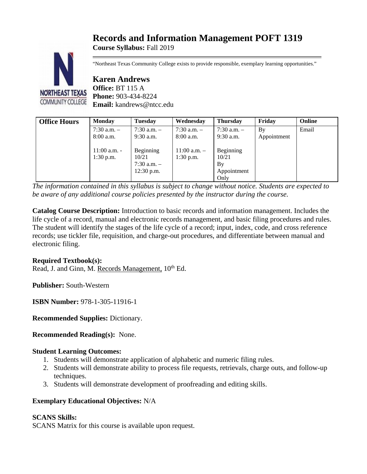# **Records and Information Management POFT 1319**

**Course Syllabus:** Fall 2019



"Northeast Texas Community College exists to provide responsible, exemplary learning opportunities."

**Karen Andrews Office:** BT 115 A **Phone:** 903-434-8224 **Email:** kandrews@ntcc.edu

| <b>Office Hours</b> | <b>Monday</b>                 | <b>Tuesday</b>                                        | Wednesday                       | <b>Thursday</b>                                 | Fridav      | Online |
|---------------------|-------------------------------|-------------------------------------------------------|---------------------------------|-------------------------------------------------|-------------|--------|
|                     | $7:30$ a.m. $-$               | $7:30$ a.m. $-$                                       | $7:30$ a.m. $-$                 | $7:30$ a.m. $-$                                 | Bv          | Email  |
|                     | $8:00$ a.m.                   | $9:30$ a.m.                                           | $8:00$ a.m.                     | $9:30$ a.m.                                     | Appointment |        |
|                     | $11:00$ a.m. -<br>$1:30$ p.m. | Beginning<br>10/21<br>$7:30$ a.m. $-$<br>$12:30$ p.m. | $11:00$ a.m. $-$<br>$1:30$ p.m. | Beginning<br>10/21<br>By<br>Appointment<br>Only |             |        |

*The information contained in this syllabus is subject to change without notice. Students are expected to be aware of any additional course policies presented by the instructor during the course.*

**Catalog Course Description:** Introduction to basic records and information management. Includes the life cycle of a record, manual and electronic records management, and basic filing procedures and rules. The student will identify the stages of the life cycle of a record; input, index, code, and cross reference records; use tickler file, requisition, and charge-out procedures, and differentiate between manual and electronic filing.

# **Required Textbook(s):**

Read, J. and Ginn, M. Records Management,  $10^{th}$  Ed.

**Publisher:** South-Western

**ISBN Number:** 978-1-305-11916-1

**Recommended Supplies:** Dictionary.

**Recommended Reading(s):** None.

# **Student Learning Outcomes:**

- 1. Students will demonstrate application of alphabetic and numeric filing rules.
- 2. Students will demonstrate ability to process file requests, retrievals, charge outs, and follow-up techniques.
- 3. Students will demonstrate development of proofreading and editing skills.

# **Exemplary Educational Objectives:** N/A

# **SCANS Skills:**

SCANS Matrix for this course is available upon request.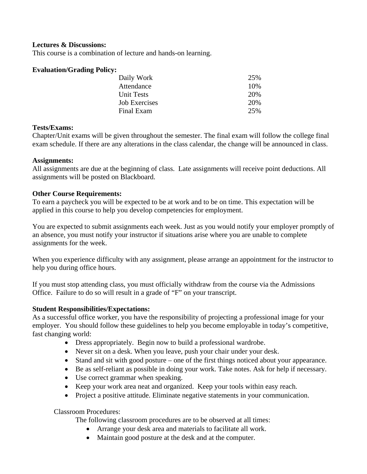## **Lectures & Discussions:**

This course is a combination of lecture and hands-on learning.

#### **Evaluation/Grading Policy:**

| Daily Work    | 25% |
|---------------|-----|
| Attendance    | 10% |
| Unit Tests    | 20% |
| Job Exercises | 20% |
| Final Exam    | 25% |
|               |     |

#### **Tests/Exams:**

Chapter/Unit exams will be given throughout the semester. The final exam will follow the college final exam schedule. If there are any alterations in the class calendar, the change will be announced in class.

#### **Assignments:**

All assignments are due at the beginning of class. Late assignments will receive point deductions. All assignments will be posted on Blackboard.

#### **Other Course Requirements:**

To earn a paycheck you will be expected to be at work and to be on time. This expectation will be applied in this course to help you develop competencies for employment.

You are expected to submit assignments each week. Just as you would notify your employer promptly of an absence, you must notify your instructor if situations arise where you are unable to complete assignments for the week.

When you experience difficulty with any assignment, please arrange an appointment for the instructor to help you during office hours.

If you must stop attending class, you must officially withdraw from the course via the Admissions Office. Failure to do so will result in a grade of "F" on your transcript.

#### **Student Responsibilities/Expectations:**

As a successful office worker, you have the responsibility of projecting a professional image for your employer. You should follow these guidelines to help you become employable in today's competitive, fast changing world:

- Dress appropriately. Begin now to build a professional wardrobe.
- Never sit on a desk. When you leave, push your chair under your desk.
- Stand and sit with good posture one of the first things noticed about your appearance.
- Be as self-reliant as possible in doing your work. Take notes. Ask for help if necessary.
- Use correct grammar when speaking.
- Keep your work area neat and organized. Keep your tools within easy reach.
- Project a positive attitude. Eliminate negative statements in your communication.

Classroom Procedures:

The following classroom procedures are to be observed at all times:

- Arrange your desk area and materials to facilitate all work.
- Maintain good posture at the desk and at the computer.